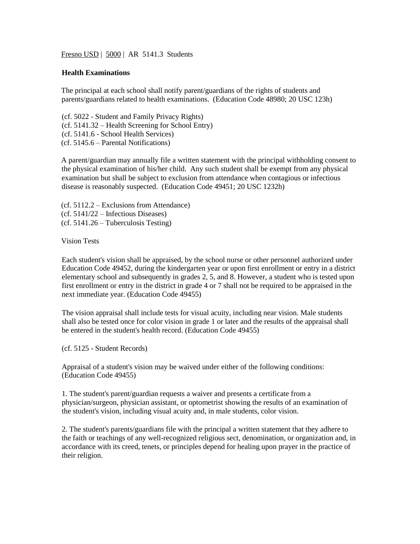Fresno USD | 5000 | AR 5141.3 Students

## **Health Examinations**

The principal at each school shall notify parent/guardians of the rights of students and parents/guardians related to health examinations. (Education Code 48980; 20 USC 123h)

(cf[. 5022](http://www.gamutonline.net/displayPolicy/288764/5) - Student and Family Privacy Rights) (cf. 5141.32 – Health Screening for School Entry) (cf[. 5141.6](http://www.gamutonline.net/displayPolicy/335607/5) - School Health Services) (cf. 5145.6 – Parental Notifications)

A parent/guardian may annually file a written statement with the principal withholding consent to the physical examination of his/her child. Any such student shall be exempt from any physical examination but shall be subject to exclusion from attendance when contagious or infectious disease is reasonably suspected. (Education Code 49451; 20 USC 1232h)

- (cf. 5112.2 Exclusions from Attendance)
- (cf. 5141/22 Infectious Diseases)
- (cf. 5141.26 Tuberculosis Testing)

Vision Tests

Each student's vision shall be appraised, by the school nurse or other personnel authorized under Education Code [49452,](http://www.gamutonline.net/displayPolicy/132367/5) during the kindergarten year or upon first enrollment or entry in a district elementary school and subsequently in grades 2, 5, and 8. However, a student who is tested upon first enrollment or entry in the district in grade 4 or 7 shall not be required to be appraised in the next immediate year. (Education Code [49455\)](http://www.gamutonline.net/displayPolicy/132369/5)

The vision appraisal shall include tests for visual acuity, including near vision. Male students shall also be tested once for color vision in grade 1 or later and the results of the appraisal shall be entered in the student's health record. (Education Cod[e 49455\)](http://www.gamutonline.net/displayPolicy/132369/5)

(cf[. 5125](http://www.gamutonline.net/displayPolicy/559084/5) - Student Records)

Appraisal of a student's vision may be waived under either of the following conditions: (Education Code [49455\)](http://www.gamutonline.net/displayPolicy/132369/5)

1. The student's parent/guardian requests a waiver and presents a certificate from a physician/surgeon, physician assistant, or optometrist showing the results of an examination of the student's vision, including visual acuity and, in male students, color vision.

2. The student's parents/guardians file with the principal a written statement that they adhere to the faith or teachings of any well-recognized religious sect, denomination, or organization and, in accordance with its creed, tenets, or principles depend for healing upon prayer in the practice of their religion.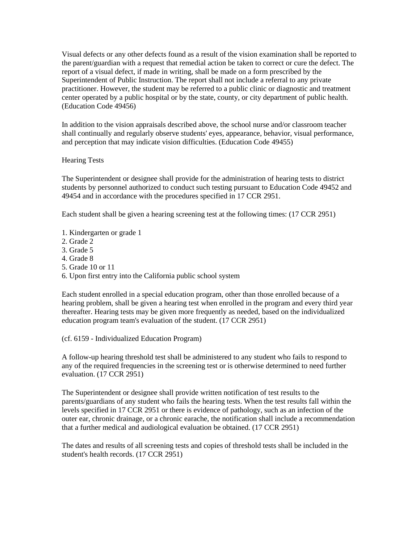Visual defects or any other defects found as a result of the vision examination shall be reported to the parent/guardian with a request that remedial action be taken to correct or cure the defect. The report of a visual defect, if made in writing, shall be made on a form prescribed by the Superintendent of Public Instruction. The report shall not include a referral to any private practitioner. However, the student may be referred to a public clinic or diagnostic and treatment center operated by a public hospital or by the state, county, or city department of public health. (Education Code [49456\)](http://www.gamutonline.net/displayPolicy/132370/5)

In addition to the vision appraisals described above, the school nurse and/or classroom teacher shall continually and regularly observe students' eyes, appearance, behavior, visual performance, and perception that may indicate vision difficulties. (Education Code [49455\)](http://www.gamutonline.net/displayPolicy/132369/5)

## Hearing Tests

The Superintendent or designee shall provide for the administration of hearing tests to district students by personnel authorized to conduct such testing pursuant to Education Code [49452](http://www.gamutonline.net/displayPolicy/132367/5) and [49454](http://www.gamutonline.net/displayPolicy/132368/5) and in accordance with the procedures specified in 17 CCR [2951.](http://www.gamutonline.net/displayPolicy/368362/5)

Each student shall be given a hearing screening test at the following times: (17 CCR [2951\)](http://www.gamutonline.net/displayPolicy/368362/5)

- 1. Kindergarten or grade 1
- 2. Grade 2
- 3. Grade 5
- 4. Grade 8
- 5. Grade 10 or 11
- 6. Upon first entry into the California public school system

Each student enrolled in a special education program, other than those enrolled because of a hearing problem, shall be given a hearing test when enrolled in the program and every third year thereafter. Hearing tests may be given more frequently as needed, based on the individualized education program team's evaluation of the student. (17 CCR [2951\)](http://www.gamutonline.net/displayPolicy/368362/5)

(cf[. 6159](http://www.gamutonline.net/displayPolicy/292829/5) - Individualized Education Program)

A follow-up hearing threshold test shall be administered to any student who fails to respond to any of the required frequencies in the screening test or is otherwise determined to need further evaluation. (17 CCR [2951\)](http://www.gamutonline.net/displayPolicy/368362/5)

The Superintendent or designee shall provide written notification of test results to the parents/guardians of any student who fails the hearing tests. When the test results fall within the levels specified in 17 CCR [2951](http://www.gamutonline.net/displayPolicy/368362/5) or there is evidence of pathology, such as an infection of the outer ear, chronic drainage, or a chronic earache, the notification shall include a recommendation that a further medical and audiological evaluation be obtained. (17 CCR [2951\)](http://www.gamutonline.net/displayPolicy/368362/5)

The dates and results of all screening tests and copies of threshold tests shall be included in the student's health records. (17 CCR [2951\)](http://www.gamutonline.net/displayPolicy/368362/5)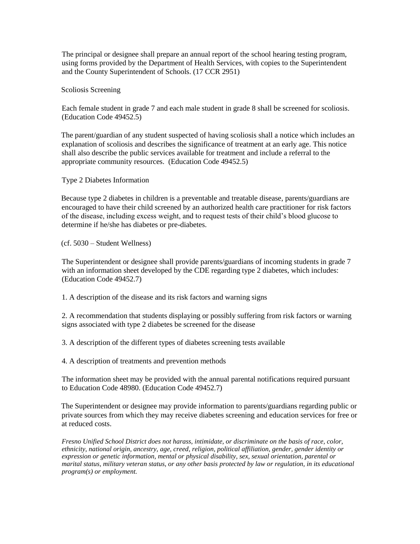The principal or designee shall prepare an annual report of the school hearing testing program, using forms provided by the Department of Health Services, with copies to the Superintendent and the County Superintendent of Schools. (17 CC[R 2951\)](http://www.gamutonline.net/displayPolicy/368362/5)

Scoliosis Screening

Each female student in grade 7 and each male student in grade 8 shall be screened for scoliosis. (Education Code [49452.5\)](http://www.gamutonline.net/displayPolicy/136111/5)

The parent/guardian of any student suspected of having scoliosis shall a notice which includes an explanation of scoliosis and describes the significance of treatment at an early age. This notice shall also describe the public services available for treatment and include a referral to the appropriate community resources. (Education Code 49452.5)

Type 2 Diabetes Information

Because type 2 diabetes in children is a preventable and treatable disease, parents/guardians are encouraged to have their child screened by an authorized health care practitioner for risk factors of the disease, including excess weight, and to request tests of their child's blood glucose to determine if he/she has diabetes or pre-diabetes.

(cf. 5030 – Student Wellness)

The Superintendent or designee shall provide parents/guardians of incoming students in grade 7 with an information sheet developed by the CDE regarding type 2 diabetes, which includes: (Education Code [49452.7\)](http://www.gamutonline.net/displayPolicy/420825/5)

1. A description of the disease and its risk factors and warning signs

2. A recommendation that students displaying or possibly suffering from risk factors or warning signs associated with type 2 diabetes be screened for the disease

3. A description of the different types of diabetes screening tests available

4. A description of treatments and prevention methods

The information sheet may be provided with the annual parental notifications required pursuant to Education Code [48980.](http://www.gamutonline.net/displayPolicy/226041/5) (Education Cod[e 49452.7\)](http://www.gamutonline.net/displayPolicy/420825/5)

The Superintendent or designee may provide information to parents/guardians regarding public or private sources from which they may receive diabetes screening and education services for free or at reduced costs.

*Fresno Unified School District does not harass, intimidate, or discriminate on the basis of race, color, ethnicity, national origin, ancestry, age, creed, religion, political affiliation, gender, gender identity or expression or genetic information, mental or physical disability, sex, sexual orientation, parental or marital status, military veteran status, or any other basis protected by law or regulation, in its educational program(s) or employment.*